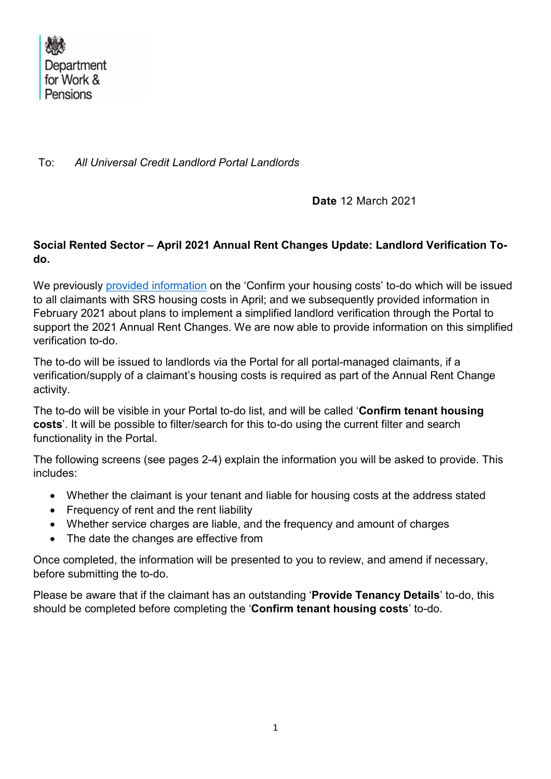

To: All Universal Credit Landlord Portal Landlords

Date 12 March 2021

### Social Rented Sector – April 2021 Annual Rent Changes Update: Landlord Verification Todo.

We previously provided information on the 'Confirm your housing costs' to-do which will be issued to all claimants with SRS housing costs in April; and we subsequently provided information in February 2021 about plans to implement a simplified landlord verification through the Portal to support the 2021 Annual Rent Changes. We are now able to provide information on this simplified verification to-do.

The to-do will be issued to landlords via the Portal for all portal-managed claimants, if a verification/supply of a claimant's housing costs is required as part of the Annual Rent Change activity.

The to-do will be visible in your Portal to-do list, and will be called 'Confirm tenant housing costs'. It will be possible to filter/search for this to-do using the current filter and search functionality in the Portal.

The following screens (see pages 2-4) explain the information you will be asked to provide. This includes:

- Whether the claimant is your tenant and liable for housing costs at the address stated
- Frequency of rent and the rent liability
- Whether service charges are liable, and the frequency and amount of charges
- The date the changes are effective from

Once completed, the information will be presented to you to review, and amend if necessary, before submitting the to-do.

Please be aware that if the claimant has an outstanding 'Provide Tenancy Details' to-do, this should be completed before completing the 'Confirm tenant housing costs' to-do.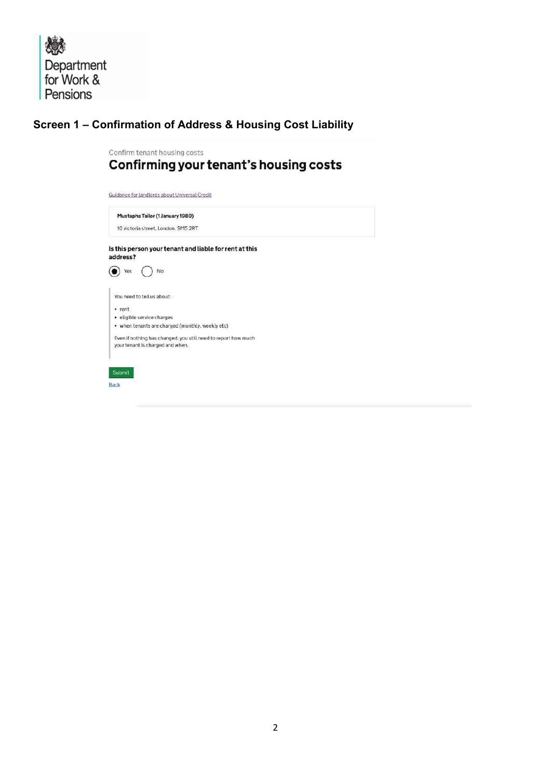德 Department<br>for Work & Pensions

## Screen 1 – Confirmation of Address & Housing Cost Liability

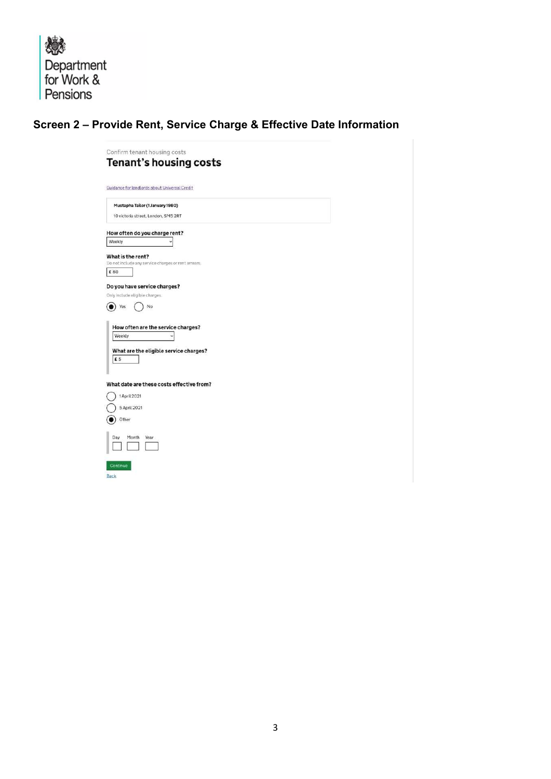戀 Department<br>for Work & Pensions

# Screen 2 – Provide Rent, Service Charge & Effective Date Information

| Confirm tenant housing costs<br>Tenant's housing costs                                                                                       |  |  |
|----------------------------------------------------------------------------------------------------------------------------------------------|--|--|
| Guidance for landlords about Universal Credit                                                                                                |  |  |
| Mustapha Tailor (1 January 1980)<br>10 victoria street, London, SM5 2RT                                                                      |  |  |
| How often do you charge rent?<br>Weekly<br>What is the rent?                                                                                 |  |  |
| Do not include any service charges or rent arrears.<br>£80                                                                                   |  |  |
| Only include eligible charges.<br>No<br>Yes<br>How often are the service charges?<br>Weekly<br>What are the eligible service charges?<br>£ 5 |  |  |
| What date are these costs effective from?<br>1 April 2021<br>5 April 2021<br>Other                                                           |  |  |
| Month<br>Year<br>Day                                                                                                                         |  |  |
| Continue<br>Back                                                                                                                             |  |  |